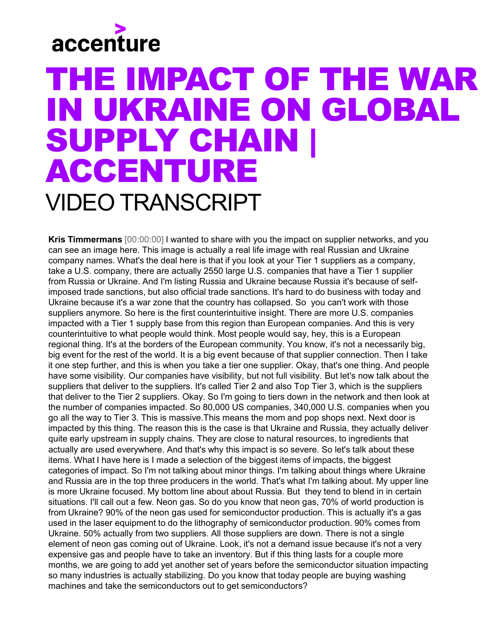## accenture

## THE IMPACT OF THE WAR IN UKRAINE ON GLOBAL SUPPLY CHAIN | ACCENTURE VIDEO TRANSCRIPT

**Kris Timmermans** [00:00:00] I wanted to share with you the impact on supplier networks, and you can see an image here. This image is actually a real life image with real Russian and Ukraine company names. What's the deal here is that if you look at your Tier 1 suppliers as a company, take a U.S. company, there are actually 2550 large U.S. companies that have a Tier 1 supplier from Russia or Ukraine. And I'm listing Russia and Ukraine because Russia it's because of selfimposed trade sanctions, but also official trade sanctions. It's hard to do business with today and Ukraine because it's a war zone that the country has collapsed. So you can't work with those suppliers anymore. So here is the first counterintuitive insight. There are more U.S. companies impacted with a Tier 1 supply base from this region than European companies. And this is very counterintuitive to what people would think. Most people would say, hey, this is a European regional thing. It's at the borders of the European community. You know, it's not a necessarily big, big event for the rest of the world. It is a big event because of that supplier connection. Then I take it one step further, and this is when you take a tier one supplier. Okay, that's one thing. And people have some visibility. Our companies have visibility, but not full visibility. But let's now talk about the suppliers that deliver to the suppliers. It's called Tier 2 and also Top Tier 3, which is the suppliers that deliver to the Tier 2 suppliers. Okay. So I'm going to tiers down in the network and then look at the number of companies impacted. So 80,000 US companies, 340,000 U.S. companies when you go all the way to Tier 3. This is massive.This means the mom and pop shops next. Next door is impacted by this thing. The reason this is the case is that Ukraine and Russia, they actually deliver quite early upstream in supply chains. They are close to natural resources, to ingredients that actually are used everywhere. And that's why this impact is so severe. So let's talk about these items. What I have here is I made a selection of the biggest items of impacts, the biggest categories of impact. So I'm not talking about minor things. I'm talking about things where Ukraine and Russia are in the top three producers in the world. That's what I'm talking about. My upper line is more Ukraine focused. My bottom line about about Russia. But they tend to blend in in certain situations. I'll call out a few. Neon gas. So do you know that neon gas, 70% of world production is from Ukraine? 90% of the neon gas used for semiconductor production. This is actually it's a gas used in the laser equipment to do the lithography of semiconductor production. 90% comes from Ukraine. 50% actually from two suppliers. All those suppliers are down. There is not a single element of neon gas coming out of Ukraine. Look, it's not a demand issue because it's not a very expensive gas and people have to take an inventory. But if this thing lasts for a couple more months, we are going to add yet another set of years before the semiconductor situation impacting so many industries is actually stabilizing. Do you know that today people are buying washing machines and take the semiconductors out to get semiconductors?